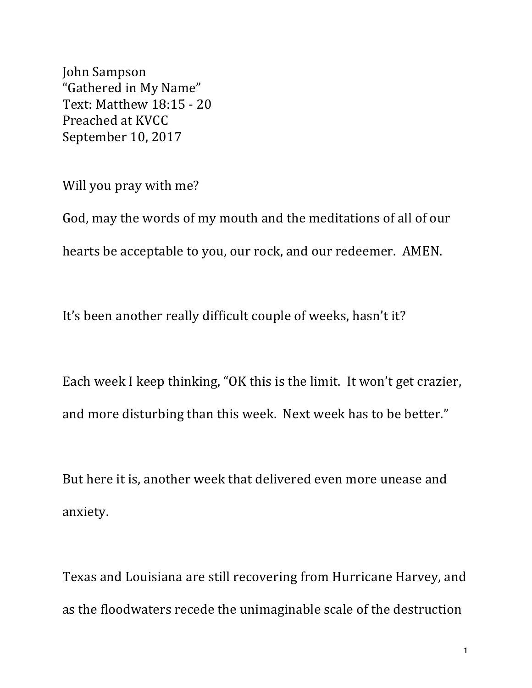John Sampson "Gathered in My Name" Text: Matthew 18:15 - 20 Preached at KVCC September 10, 2017

Will you pray with me?

God, may the words of my mouth and the meditations of all of our hearts be acceptable to you, our rock, and our redeemer. AMEN.

It's been another really difficult couple of weeks, hasn't it?

Each week I keep thinking, "OK this is the limit. It won't get crazier, and more disturbing than this week. Next week has to be better."

But here it is, another week that delivered even more unease and anxiety.

Texas and Louisiana are still recovering from Hurricane Harvey, and as the floodwaters recede the unimaginable scale of the destruction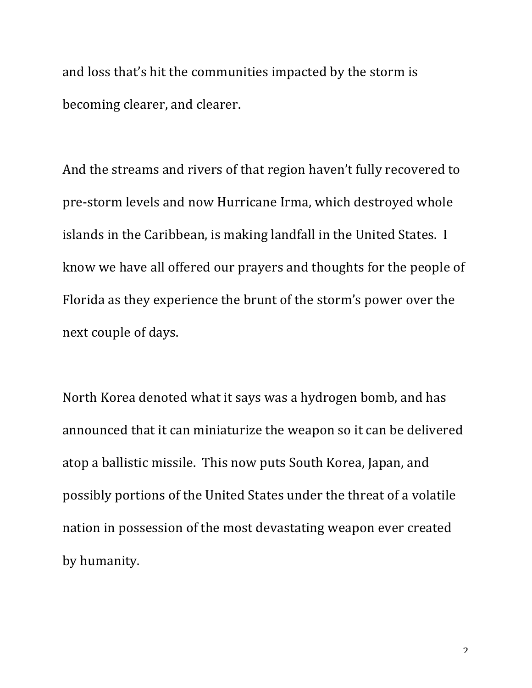and loss that's hit the communities impacted by the storm is becoming clearer, and clearer.

And the streams and rivers of that region haven't fully recovered to pre-storm levels and now Hurricane Irma, which destroyed whole islands in the Caribbean, is making landfall in the United States. I know we have all offered our prayers and thoughts for the people of Florida as they experience the brunt of the storm's power over the next couple of days.

North Korea denoted what it says was a hydrogen bomb, and has announced that it can miniaturize the weapon so it can be delivered atop a ballistic missile. This now puts South Korea, Japan, and possibly portions of the United States under the threat of a volatile nation in possession of the most devastating weapon ever created by humanity.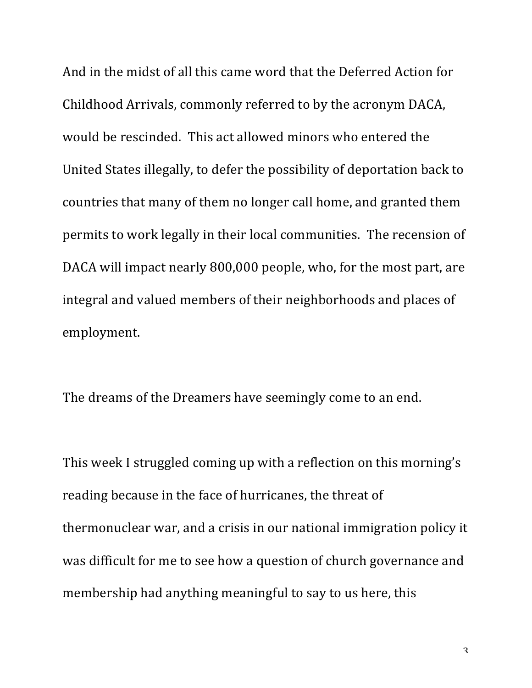And in the midst of all this came word that the Deferred Action for Childhood Arrivals, commonly referred to by the acronym DACA, would be rescinded. This act allowed minors who entered the United States illegally, to defer the possibility of deportation back to countries that many of them no longer call home, and granted them permits to work legally in their local communities. The recension of DACA will impact nearly 800,000 people, who, for the most part, are integral and valued members of their neighborhoods and places of employment. 

The dreams of the Dreamers have seemingly come to an end.

This week I struggled coming up with a reflection on this morning's reading because in the face of hurricanes, the threat of thermonuclear war, and a crisis in our national immigration policy it was difficult for me to see how a question of church governance and membership had anything meaningful to say to us here, this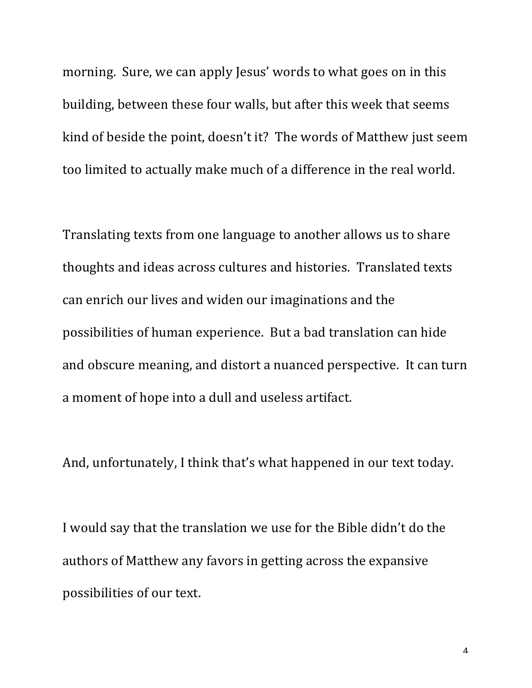morning. Sure, we can apply Jesus' words to what goes on in this building, between these four walls, but after this week that seems kind of beside the point, doesn't it? The words of Matthew just seem too limited to actually make much of a difference in the real world.

Translating texts from one language to another allows us to share thoughts and ideas across cultures and histories. Translated texts can enrich our lives and widen our imaginations and the possibilities of human experience. But a bad translation can hide and obscure meaning, and distort a nuanced perspective. It can turn a moment of hope into a dull and useless artifact.

And, unfortunately, I think that's what happened in our text today.

I would say that the translation we use for the Bible didn't do the authors of Matthew any favors in getting across the expansive possibilities of our text.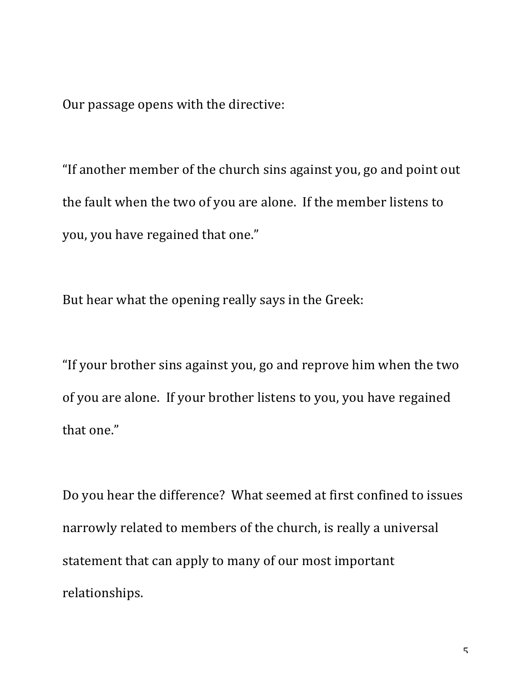Our passage opens with the directive:

"If another member of the church sins against you, go and point out the fault when the two of you are alone. If the member listens to you, you have regained that one."

But hear what the opening really says in the Greek:

"If your brother sins against you, go and reprove him when the two of you are alone. If your brother listens to you, you have regained that one."

Do you hear the difference? What seemed at first confined to issues narrowly related to members of the church, is really a universal statement that can apply to many of our most important relationships.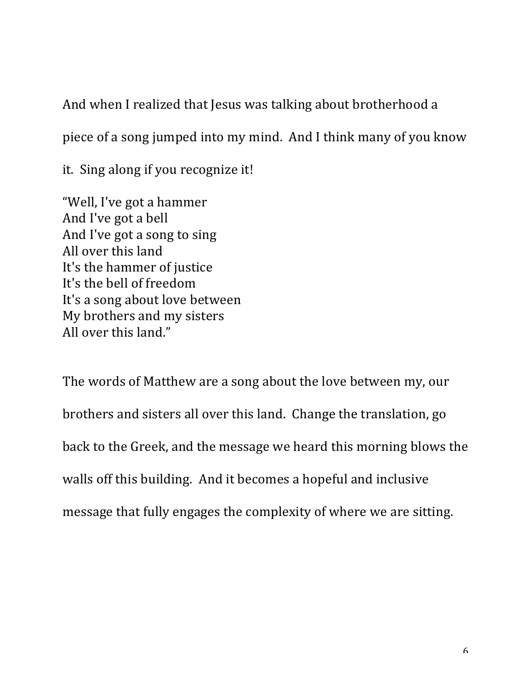And when I realized that Jesus was talking about brotherhood a

piece of a song jumped into my mind. And I think many of you know

it. Sing along if you recognize it!

"Well, I've got a hammer And I've got a bell And I've got a song to sing All over this land It's the hammer of justice It's the bell of freedom It's a song about love between My brothers and my sisters All over this land."

The words of Matthew are a song about the love between my, our brothers and sisters all over this land. Change the translation, go back to the Greek, and the message we heard this morning blows the walls off this building. And it becomes a hopeful and inclusive message that fully engages the complexity of where we are sitting.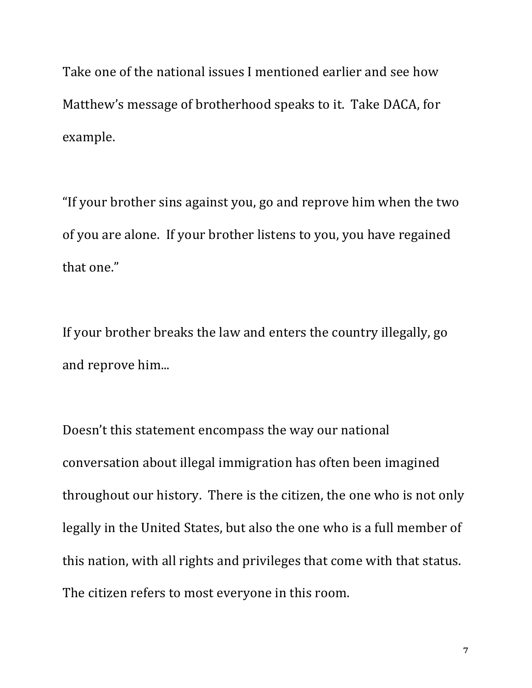Take one of the national issues I mentioned earlier and see how Matthew's message of brotherhood speaks to it. Take DACA, for example.

"If your brother sins against you, go and reprove him when the two of you are alone. If your brother listens to you, you have regained that one."

If your brother breaks the law and enters the country illegally, go and reprove him...

Doesn't this statement encompass the way our national conversation about illegal immigration has often been imagined throughout our history. There is the citizen, the one who is not only legally in the United States, but also the one who is a full member of this nation, with all rights and privileges that come with that status. The citizen refers to most everyone in this room.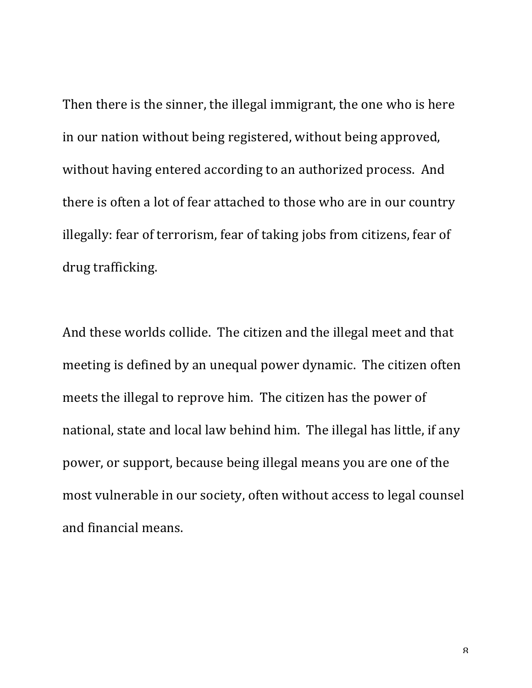Then there is the sinner, the illegal immigrant, the one who is here in our nation without being registered, without being approved, without having entered according to an authorized process. And there is often a lot of fear attached to those who are in our country illegally: fear of terrorism, fear of taking jobs from citizens, fear of drug trafficking.

And these worlds collide. The citizen and the illegal meet and that meeting is defined by an unequal power dynamic. The citizen often meets the illegal to reprove him. The citizen has the power of national, state and local law behind him. The illegal has little, if any power, or support, because being illegal means you are one of the most vulnerable in our society, often without access to legal counsel and financial means.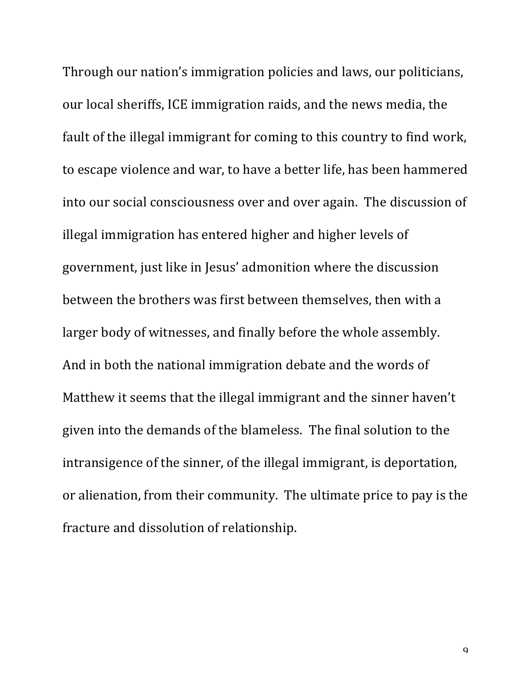Through our nation's immigration policies and laws, our politicians, our local sheriffs, ICE immigration raids, and the news media, the fault of the illegal immigrant for coming to this country to find work, to escape violence and war, to have a better life, has been hammered into our social consciousness over and over again. The discussion of illegal immigration has entered higher and higher levels of government, just like in Jesus' admonition where the discussion between the brothers was first between themselves, then with a larger body of witnesses, and finally before the whole assembly. And in both the national immigration debate and the words of Matthew it seems that the illegal immigrant and the sinner haven't given into the demands of the blameless. The final solution to the intransigence of the sinner, of the illegal immigrant, is deportation, or alienation, from their community. The ultimate price to pay is the fracture and dissolution of relationship.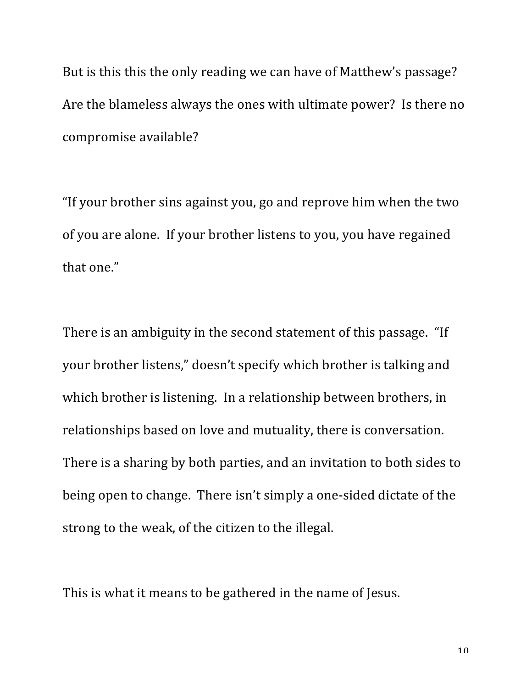But is this this the only reading we can have of Matthew's passage? Are the blameless always the ones with ultimate power? Is there no compromise available?

"If your brother sins against you, go and reprove him when the two of you are alone. If your brother listens to you, you have regained that one."

There is an ambiguity in the second statement of this passage. "If your brother listens," doesn't specify which brother is talking and which brother is listening. In a relationship between brothers, in relationships based on love and mutuality, there is conversation. There is a sharing by both parties, and an invitation to both sides to being open to change. There isn't simply a one-sided dictate of the strong to the weak, of the citizen to the illegal.

This is what it means to be gathered in the name of Jesus.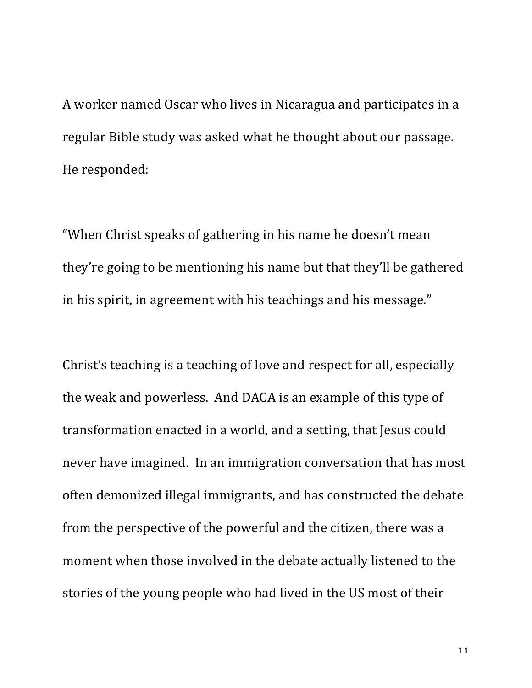A worker named Oscar who lives in Nicaragua and participates in a regular Bible study was asked what he thought about our passage. He responded:

"When Christ speaks of gathering in his name he doesn't mean they're going to be mentioning his name but that they'll be gathered in his spirit, in agreement with his teachings and his message."

Christ's teaching is a teaching of love and respect for all, especially the weak and powerless. And DACA is an example of this type of transformation enacted in a world, and a setting, that Jesus could never have imagined. In an immigration conversation that has most often demonized illegal immigrants, and has constructed the debate from the perspective of the powerful and the citizen, there was a moment when those involved in the debate actually listened to the stories of the young people who had lived in the US most of their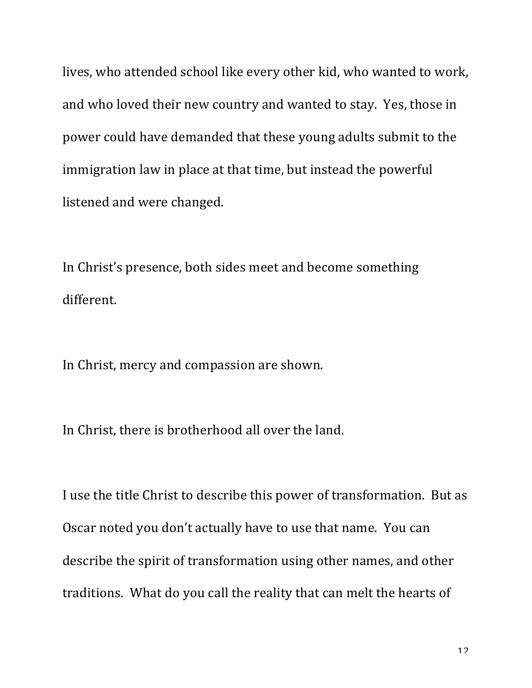lives, who attended school like every other kid, who wanted to work, and who loved their new country and wanted to stay. Yes, those in power could have demanded that these young adults submit to the immigration law in place at that time, but instead the powerful listened and were changed.

In Christ's presence, both sides meet and become something different. 

In Christ, mercy and compassion are shown.

In Christ, there is brotherhood all over the land.

I use the title Christ to describe this power of transformation. But as Oscar noted you don't actually have to use that name. You can describe the spirit of transformation using other names, and other traditions. What do you call the reality that can melt the hearts of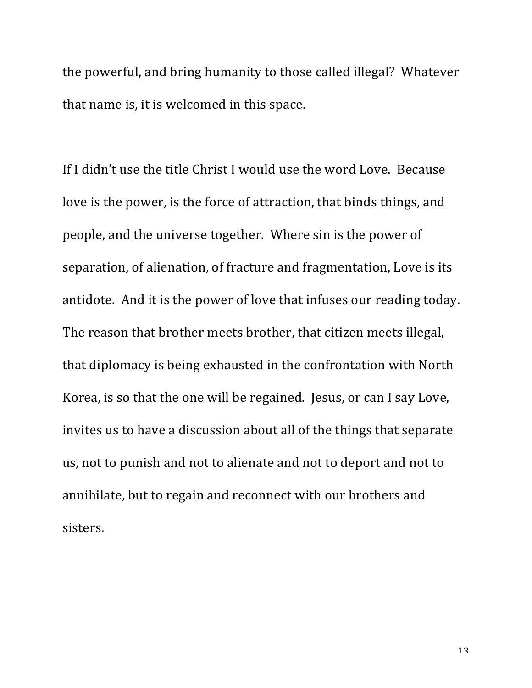the powerful, and bring humanity to those called illegal? Whatever that name is, it is welcomed in this space.

If I didn't use the title Christ I would use the word Love. Because love is the power, is the force of attraction, that binds things, and people, and the universe together. Where sin is the power of separation, of alienation, of fracture and fragmentation, Love is its antidote. And it is the power of love that infuses our reading today. The reason that brother meets brother, that citizen meets illegal, that diplomacy is being exhausted in the confrontation with North Korea, is so that the one will be regained. Jesus, or can I say Love, invites us to have a discussion about all of the things that separate us, not to punish and not to alienate and not to deport and not to annihilate, but to regain and reconnect with our brothers and sisters.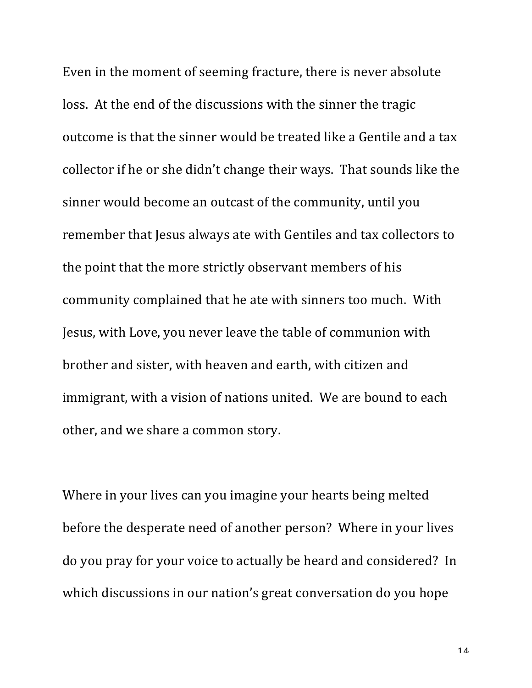Even in the moment of seeming fracture, there is never absolute loss. At the end of the discussions with the sinner the tragic outcome is that the sinner would be treated like a Gentile and a tax collector if he or she didn't change their ways. That sounds like the sinner would become an outcast of the community, until you remember that Jesus always ate with Gentiles and tax collectors to the point that the more strictly observant members of his community complained that he ate with sinners too much. With Jesus, with Love, you never leave the table of communion with brother and sister, with heaven and earth, with citizen and immigrant, with a vision of nations united. We are bound to each other, and we share a common story.

Where in your lives can you imagine your hearts being melted before the desperate need of another person? Where in your lives do you pray for your voice to actually be heard and considered? In which discussions in our nation's great conversation do you hope

 $14$